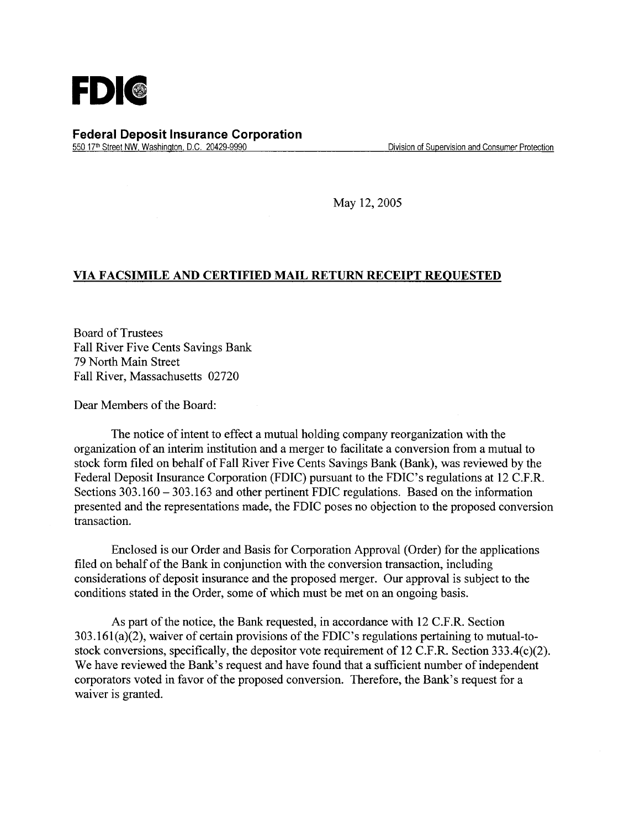

**Federal Deposit Insurance Corporation**  550 17th Street NW, Washington, D.C. 20429-9990 Division of Supervision and Consumer Protection

May 12, 2005

## **VIA FACSIMILE AND CERTIFIED MAIL RETURN RECEIPT REQUESTED**

Board of Trustees Fall River Five Cents Savings Bank 79 North Main Street Fall River, Massachusetts 02720

Dear Members of the Board:

The notice of intent to effect a mutual holding company reorganization with the organization of an interim institution and a merger to facilitate a conversion from a mutual to stock form filed on behalf of Fall River Five Cents Savings Bank (Bank), was reviewed by the Federal Deposit Insurance Corporation (FDIC) pursuant to the FDIC's regulations at 12 C.F.R. Sections 303.160 - 303.163 and other pertinent FDIC regulations. Based on the information presented and the representations made, the FDIC poses no objection to the proposed conversion transaction.

Enclosed is our Order and Basis for Corporation Approval (Order) for the applications filed on behalf of the Bank in conjunction with the conversion transaction, including considerations of deposit insurance and the proposed merger. Our approval is subject to the conditions stated in the Order, some of which must be met on an ongoing basis.

As part of the notice, the Bank requested, in accordance with 12 C.F.R. Section 303.161 (a)(2), waiver of certain provisions of the FDIC 's regulations pertaining to mutual-tostock conversions, specifically, the depositor vote requirement of 12 C.F.R. Section 333.4(c)(2). We have reviewed the Bank's request and have found that a sufficient number of independent corporators voted in favor of the proposed conversion. Therefore, the Bank's request for a waiver is granted.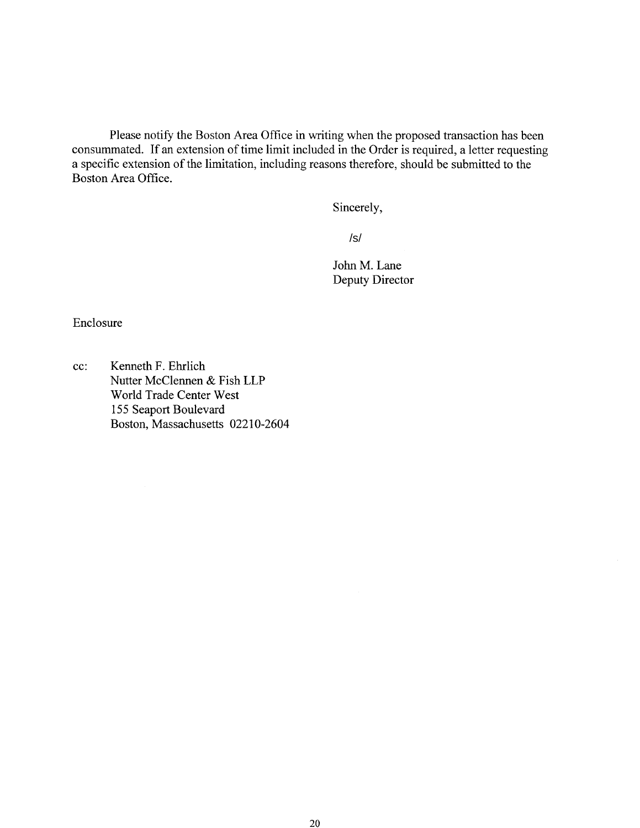Please notify the Boston Area Office in writing when the proposed transaction has been consummated. If an extension of time limit included in the Order is required, a letter requesting a specific extension of the limitation, including reasons therefore, should be submitted to the Boston Area Office.

Sincerely,

 $/s/$ 

John M. Lane Deputy Director /s/<br>John ]<br>Deput

Enclosure

cc: Kenneth F. Ehrlich Nutter McClennen & Fish LLP World Trade Center West *155* Seaport Boulevard Boston, Massachusetts 02210-2604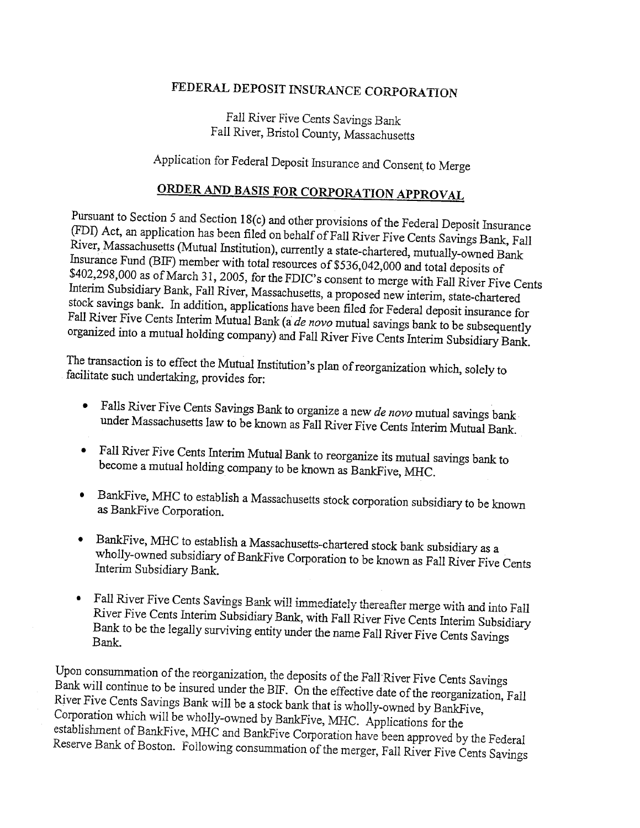## FEDERAL DEPOSIT INSURANCE CORPORATION

Fall River Five Cents *Savings* Bank Fall River, Bristol County, Massachusetts

Application for Federal Deposit Insurance and Consent, to Merge

## **ORDER AND BASIS FOR CORPORATION APPROVAL**

Pursuant to Section *5* and Section 18(c) and other provisions of the Federal Deposit Insurance (FD1) Act, an application has been filed on behalf of Fall River Five Cents Savings Bank, Fall River, Massachusetts (Mutual Institution), currently a state-chartered, mutually-owned Bank Insurance Fund (BIF) member with total resources of \$536,042,000 and total deposits of \$402,298,000 as of March 31, 2005, for the FDIC's consent to merge with Fall River Five Cents Interim Subsidiary Bank, Fall River, Massachusetts, a proposed new interim, state-chartered stock savings bank. In addition, applications have been filed for Federal deposit insurance for Fall River Five Cents Interim Mutual Bank (a *de novo* mutual savings bank to be subsequently organized into a mutual holding company) and Fall River Five Cents Interim Subsidiary Bank.

The transaction is to effect the Mutual Institution's plan of reorganization which, solely to facilitate such undertaking, provides for:

- **•** Falls River Five Cents Savings Bank to organize a new *de novo* mutual savings bank under Massachusetts law to be known as Fall River Five Cents Interim Mutual Bank.
- Fall River Five Cents Interim Mutual Bank to reorganize its mutual savings bank to become a mutual holding company to be known as BankFive, MHC.
- BankFive, MEC to establish a Massachusetts stock corporation subsidiary to be known as BankFive Corporation.
- BankFive, MEC to establish a Massachusetts-chartered stock bank subsidiary as a wholly-owned subsidiary of BankFive Corporation to be known as Fall River Five Cents Interim Subsidiary Bank.
- Fall River Five Cents Savings Bank will immediately thereafter merge with and into Fall River Five Cents Interim Subsidiary Bank, with Fall River Five Cents Interim Subsidiary Bank to be the legally surviving entity under the name Fall River Five Cents Savings Bank.

Upon consummation of the reorganization, the deposits of the FaliRiver Five Cents Savings Bank will continue to be insured under the BIF. On the effective date of the reorganization, Fall River Five Cents Savings Bank will be a stock bank that is wholly-owned by BankFive, Corporation which will be wholly-owned by BankFive, MIHC. Applications for the establishment of BankFive, MHC and BankFive Corporation have been approved by the Federal Reserve Bank of Boston. Following consummation of the merger, Fall River Five Cents Savings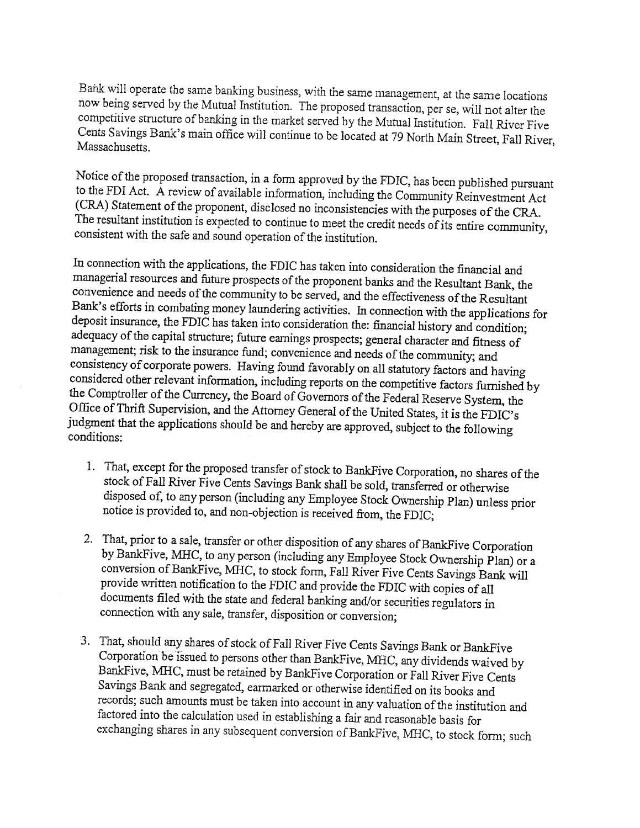Bank will operate the same banking business, with the same management, at the same locations now being served by the Mutual Institution. The proposed transaction, per se, will not alter the competitive structure of banking in the market served by the Mutual Institution. Fall River Five Cents Savings Bank's main office will continue to be located at 79 North Main Street, Fall River, Massachusetts.

Notice of the proposed transaction, in a form approved by the FDIC, has been published pursuant to the FDI Act. A review of available information, including the Community Reinvestment Act (CRA) Statement of the proponent, disclosed no inconsistencies with the purposes of the CRA. The resultant institution is expected to continue to meet the credit needs of its entire community, consistent with the safe and sound operation of the institution.

In connection with the applications, the FDIC has taken into consideration the financial and managerial resources and future prospects of the proponent banks and the Resultant Bank, the convenience and needs of the community to be served, and the effectiveness of the Resultant Bank's efforts in combating money laundering activities. In connection with the applications for deposit insurance, the FDIC has taken into consideration the: financial history and condition; adequacy of the capital structure; future earnings prospects; general character and fitness of management; risk to the insurance fund; convenience and needs of the community; and consistency of corporate powers. Having found favorably on all statutory factors and having considered other relevant information, including reports on the competitive factors furnished by the Comptroller of the Currency, the Board of Governors of the Federal Reserve System, the Office of Thrift Supervision, and the Attorney General of the United States, it is the FDIC's judgment that the applications should be and hereby are approved, subject to the following conditions:

- 1. That, except for the proposed transfer of stock to BankFive Corporation, no shares of the stock of Fall River Five Cents Savings Bank shall be sold, transferred or otherwise disposed of, to any person (including any Employee Stock Ownership Plan) unless prior notice is provided to, and non-objection is received from, the FDIC;
- 2. That, prior to a sale, transfer or other disposition of any shares of BankFive Corporation by BankFive, MBC, to any person (including any Employee Stock Ownership Plan) or a conversion of BankFive, MHC, to stock form, Fall River Five Cents Savings Bank will provide written notification to the FDIC and provide the FDIC with copies of all documents filed with the state and federal banking and/or securities regulators in connection with any sale, transfer, disposition or conversion;
- 3. That, should any shares of stock of Fall River Five Cents Savings Bank or BankFive Corporation be issued to persons other than BankFive, MIHC, any dividends waived by BankFive, MHC, must be retained by BankFive Corporation or Fall River Five Cents Savings Bank and segregated, earmarked or otherwise identified on its books and records; such amounts must be taken into account in any valuation of the institution and factored into the calculation used in establishing a fair and reasonable basis for exchanging shares in any subsequent conversion of BankFive, MHC, to stock form; such